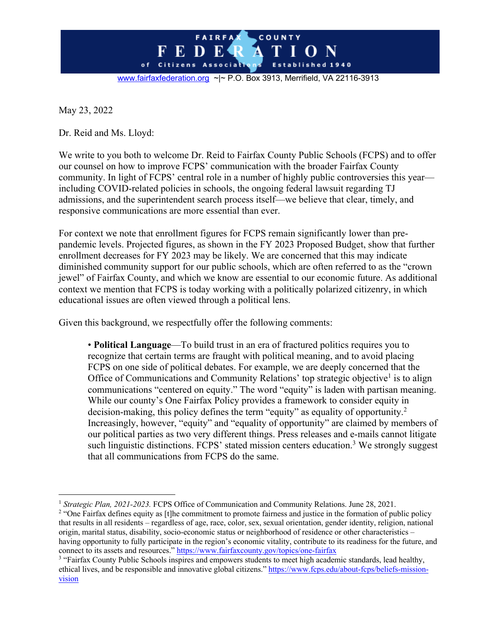

May 23, 2022

Dr. Reid and Ms. Lloyd:

We write to you both to welcome Dr. Reid to Fairfax County Public Schools (FCPS) and to offer our counsel on how to improve FCPS' communication with the broader Fairfax County community. In light of FCPS' central role in a number of highly public controversies this year including COVID-related policies in schools, the ongoing federal lawsuit regarding TJ admissions, and the superintendent search process itself—we believe that clear, timely, and responsive communications are more essential than ever.

For context we note that enrollment figures for FCPS remain significantly lower than prepandemic levels. Projected figures, as shown in the FY 2023 Proposed Budget, show that further enrollment decreases for FY 2023 may be likely. We are concerned that this may indicate diminished community support for our public schools, which are often referred to as the "crown jewel" of Fairfax County, and which we know are essential to our economic future. As additional context we mention that FCPS is today working with a politically polarized citizenry, in which educational issues are often viewed through a political lens.

Given this background, we respectfully offer the following comments:

• **Political Language**—To build trust in an era of fractured politics requires you to recognize that certain terms are fraught with political meaning, and to avoid placing FCPS on one side of political debates. For example, we are deeply concerned that the Office of Communications and Community Relations' top strategic objective<sup>1</sup> is to align communications "centered on equity." The word "equity" is laden with partisan meaning. While our county's One Fairfax Policy provides a framework to consider equity in decision-making, this policy defines the term "equity" as equality of opportunity.2 Increasingly, however, "equity" and "equality of opportunity" are claimed by members of our political parties as two very different things. Press releases and e-mails cannot litigate such linguistic distinctions. FCPS' stated mission centers education.<sup>3</sup> We strongly suggest that all communications from FCPS do the same.

<sup>&</sup>lt;sup>1</sup> *Strategic Plan, 2021-2023.* FCPS Office of Communication and Community Relations. June 28, 2021.

<sup>&</sup>lt;sup>2</sup> "One Fairfax defines equity as [t]he commitment to promote fairness and justice in the formation of public policy that results in all residents – regardless of age, race, color, sex, sexual orientation, gender identity, religion, national origin, marital status, disability, socio-economic status or neighborhood of residence or other characteristics – having opportunity to fully participate in the region's economic vitality, contribute to its readiness for the future, and connect to its assets and resources." https://www.fairfaxcounty.gov/topics/one-fairfax

<sup>&</sup>lt;sup>3</sup> "Fairfax County Public Schools inspires and empowers students to meet high academic standards, lead healthy, ethical lives, and be responsible and innovative global citizens." https://www.fcps.edu/about-fcps/beliefs-missionvision